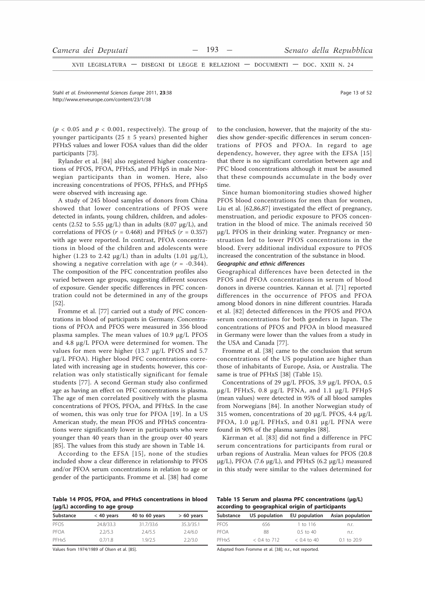XVII LEGISLATURA - DISEGNI DI LEGGE E RELAZIONI - DOCUMENTI - DOC. XXIII N. 24

Stahl et al Environmental Sciences Eurone 2011 23:38 http://www.enveurope.com/content/23/1/38

 $(p < 0.05$  and  $p < 0.001$ , respectively). The group of younger participants (25  $\pm$  5 years) presented higher PFHxS values and lower FOSA values than did the older participants [73].

Rylander et al. [84] also registered higher concentrations of PFOS, PFOA, PFHxS, and PFHpS in male Norwegian participants than in women. Here, also increasing concentrations of PFOS, PFHxS, and PFHpS were observed with increasing age.

A study of 245 blood samples of donors from China showed that lower concentrations of PFOS were detected in infants, young children, children, and adolescents (2.52 to 5.55  $\mu$ g/L) than in adults (8.07  $\mu$ g/L), and correlations of PFOS ( $r = 0.468$ ) and PFHxS ( $r = 0.357$ ) with age were reported. In contrast, PFOA concentrations in blood of the children and adolescents were higher (1.23 to 2.42  $\mu$ g/L) than in adults (1.01  $\mu$ g/L), showing a negative correlation with age  $(r = -0.344)$ . The composition of the PFC concentration profiles also varied between age groups, suggesting different sources of exposure. Gender specific differences in PFC concentration could not be determined in any of the groups  $[52]$ .

Fromme et al. [77] carried out a study of PFC concentrations in blood of participants in Germany. Concentrations of PFOA and PFOS were measured in 356 blood plasma samples. The mean values of 10.9 µg/L PFOS and 4.8 µg/L PFOA were determined for women. The values for men were higher  $(13.7 \mu g/L$  PFOS and 5.7 µg/L PFOA). Higher blood PFC concentrations correlated with increasing age in students; however, this correlation was only statistically significant for female students [77]. A second German study also confirmed age as having an effect on PFC concentrations is plasma. The age of men correlated positively with the plasma concentrations of PFOS, PFOA, and PFHxS. In the case of women, this was only true for PFOA [19]. In a US American study, the mean PFOS and PFHxS concentrations were significantly lower in participants who were younger than 40 years than in the group over 40 years [85]. The values from this study are shown in Table 14.

According to the EFSA [15], none of the studies included show a clear difference in relationship to PFOS and/or PFOA serum concentrations in relation to age or gender of the participants. Fromme et al. [38] had come

Table 14 PFOS, PFOA, and PFHxS concentrations in blood (µg/L) according to age group

| Substance | $<$ 40 years | 40 to 60 years | $> 60$ years |
|-----------|--------------|----------------|--------------|
| PEOS      | 24.8/33.3    | 31.7/33.6      | 35.3/35.1    |
| PFOA      | 2.2/5.3      | 2.4/5.5        | 2.4/6.0      |
| PFHxS     | 0.7/1.8      | 1.9/2.5        | 2.2/3.0      |

Values from 1974/1989 of Olsen et al. [85].

to the conclusion, however, that the majority of the studies show gender-specific differences in serum concentrations of PFOS and PFOA. In regard to age dependency, however, they agree with the EFSA [15] that there is no significant correlation between age and PFC blood concentrations although it must be assumed that these compounds accumulate in the body over time.

Since human biomonitoring studies showed higher PFOS blood concentrations for men than for women. Liu et al. [62,86,87] investigated the effect of pregnancy, menstruation, and periodic exposure to PFOS concentration in the blood of mice. The animals received 50 ug/L PFOS in their drinking water. Pregnancy or menstruation led to lower PFOS concentrations in the blood. Every additional individual exposure to PFOS increased the concentration of the substance in blood.

# Geographic and ethnic differences

Geographical differences have been detected in the PFOS and PFOA concentrations in serum of blood donors in diverse countries. Kannan et al. [71] reported differences in the occurrence of PFOS and PFOA among blood donors in nine different countries. Harada et al. [82] detected differences in the PFOS and PFOA serum concentrations for both genders in Japan. The concentrations of PFOS and PFOA in blood measured in Germany were lower than the values from a study in the USA and Canada [77].

Fromme et al. [38] came to the conclusion that serum concentrations of the US population are higher than those of inhabitants of Europe, Asia, or Australia. The same is true of PFHxS [38] (Table 15).

Concentrations of 29 µg/L PFOS, 3.9 µg/L PFOA, 0.5 μg/L PFHxS, 0.8 μg/L PFNA, and 1.1 μg/L PFHpS (mean values) were detected in 95% of all blood samples from Norwegians [84]. In another Norwegian study of 315 women, concentrations of 20  $\mu$ g/L PFOS, 4.4  $\mu$ g/L PFOA, 1.0 µg/L PFHxS, and 0.81 µg/L PFNA were found in 90% of the plasma samples [88].

Kärrman et al. [83] did not find a difference in PFC serum concentrations for participants from rural or urban regions of Australia. Mean values for PFOS (20.8  $\mu$ g/L), PFOA (7.6  $\mu$ g/L), and PFHxS (6.2  $\mu$ g/L) measured in this study were similar to the values determined for

Table 15 Serum and plasma PFC concentrations (µg/L) according to geographical origin of participants

| Substance | US population  | EU population | Asian population |
|-----------|----------------|---------------|------------------|
| PEOS      | 656            | $1$ to $116$  | n.r.             |
| PFOA      | 88             | $0.5$ to 40   | n.r.             |
| PFHxS     | $< 0.4$ to 712 | $< 0.4$ to 40 | 0.1 to 20.9      |

Adapted from Fromme et al. [38]; n.r., not reported.

Page 13 of 52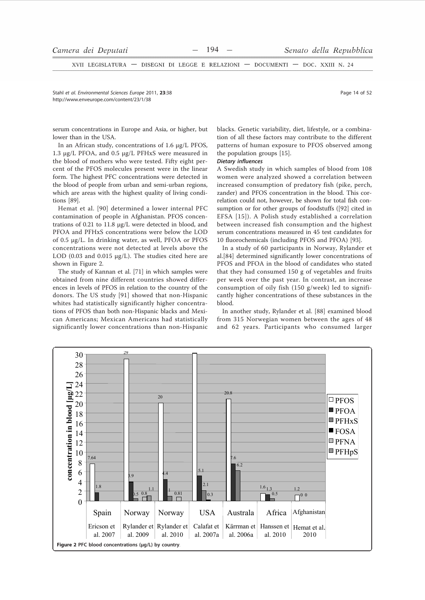XVII LEGISLATURA - DISEGNI DI LEGGE E RELAZIONI - DOCUMENTI - DOC. XXIII N. 24

Stabl et al Environmental Sciences Eurone 2011 23:38 http://www.enveurope.com/content/23/1/38

Page 14 of 52

serum concentrations in Europe and Asia, or higher, but lower than in the USA.

In an African study, concentrations of 1.6 µg/L PFOS, 1.3 μg/L PFOA, and 0.5 μg/L PFHxS were measured in the blood of mothers who were tested. Fifty eight percent of the PFOS molecules present were in the linear form. The highest PFC concentrations were detected in the blood of people from urban and semi-urban regions, which are areas with the highest quality of living conditions [89].

Hemat et al. [90] determined a lower internal PFC contamination of people in Afghanistan. PFOS concentrations of 0.21 to 11.8 µg/L were detected in blood, and PFOA and PFHxS concentrations were below the LOD of 0.5 µg/L. In drinking water, as well, PFOA or PFOS concentrations were not detected at levels above the LOD (0.03 and 0.015  $\mu$ g/L). The studies cited here are shown in Figure 2.

The study of Kannan et al. [71] in which samples were obtained from nine different countries showed differences in levels of PFOS in relation to the country of the donors. The US study [91] showed that non-Hispanic whites had statistically significantly higher concentrations of PFOS than both non-Hispanic blacks and Mexican Americans; Mexican Americans had statistically significantly lower concentrations than non-Hispanic blacks. Genetic variability, diet, lifestyle, or a combination of all these factors may contribute to the different patterns of human exposure to PFOS observed among the population groups [15].

## **Dietary influences**

A Swedish study in which samples of blood from 108 women were analyzed showed a correlation between increased consumption of predatory fish (pike, perch, zander) and PFOS concentration in the blood. This correlation could not, however, be shown for total fish consumption or for other groups of foodstuffs ([92] cited in EFSA [15]). A Polish study established a correlation between increased fish consumption and the highest serum concentrations measured in 45 test candidates for 10 fluorochemicals (including PFOS and PFOA) [93].

In a study of 60 participants in Norway, Rylander et al.[84] determined significantly lower concentrations of PFOS and PFOA in the blood of candidates who stated that they had consumed 150 g of vegetables and fruits per week over the past year. In contrast, an increase consumption of oily fish (150 g/week) led to significantly higher concentrations of these substances in the blood.

In another study, Rylander et al. [88] examined blood from 315 Norwegian women between the ages of 48 and 62 years. Participants who consumed larger

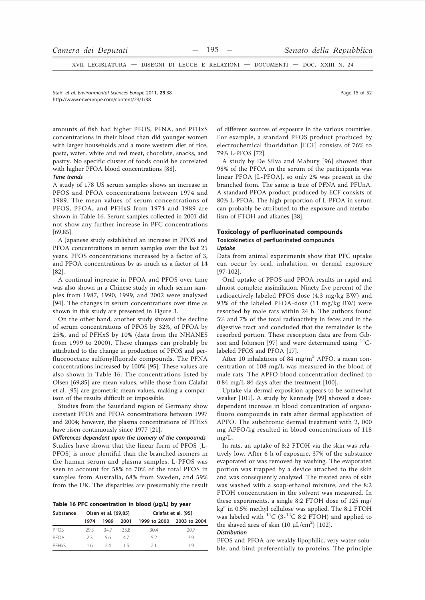XVII LEGISLATURA - DISEGNI DI LEGGE E RELAZIONI - DOCUMENTI - DOC. XXIII N. 24

Stahl et al Environmental Sciences Eurone 2011 23:38 http://www.enveurope.com/content/23/1/38

amounts of fish had higher PFOS, PFNA, and PFHxS concentrations in their blood than did younger women with larger households and a more western diet of rice, pasta, water, white and red meat, chocolate, snacks, and pastry. No specific cluster of foods could be correlated with higher PFOA blood concentrations [88].

## **Time trends**

A study of 178 US serum samples shows an increase in PFOS and PFOA concentrations between 1974 and 1989. The mean values of serum concentrations of PFOS, PFOA, and PFHxS from 1974 and 1989 are shown in Table 16. Serum samples collected in 2001 did not show any further increase in PFC concentrations  $[69, 85]$ .

A Japanese study established an increase in PFOS and PFOA concentrations in serum samples over the last 25 years. PFOS concentrations increased by a factor of 3, and PFOA concentrations by as much as a factor of 14  $[82]$ 

A continual increase in PFOA and PFOS over time was also shown in a Chinese study in which serum samples from 1987, 1990, 1999, and 2002 were analyzed [94]. The changes in serum concentrations over time as shown in this study are presented in Figure 3.

On the other hand, another study showed the decline of serum concentrations of PFOS by 32%, of PFOA by 25%, and of PFHxS by 10% (data from the NHANES from 1999 to 2000). These changes can probably be attributed to the change in production of PFOS and perfluorooctane sulfonylfluoride compounds. The PFNA concentrations increased by 100% [95]. These values are also shown in Table 16. The concentrations listed by Olsen [69,85] are mean values, while those from Calafat et al. [95] are geometric mean values, making a comparison of the results difficult or impossible.

Studies from the Sauerland region of Germany show constant PFOS and PFOA concentrations between 1997 and 2004; however, the plasma concentrations of PFHxS have risen continuously since 1977 [21].

Differences dependent upon the isomery of the compounds Studies have shown that the linear form of PFOS [L-PFOS] is more plentiful than the branched isomers in the human serum and plasma samples. L-PFOS was seen to account for 58% to 70% of the total PFOS in samples from Australia, 68% from Sweden, and 59% from the UK. The disparities are presumably the result

|  |  |  |  | Table 16 PFC concentration in blood (µg/L) by year |  |  |  |  |  |
|--|--|--|--|----------------------------------------------------|--|--|--|--|--|
|--|--|--|--|----------------------------------------------------|--|--|--|--|--|

| Substance | Olsen et al. [69,85] |       | Calafat et al. [95] |              |              |  |
|-----------|----------------------|-------|---------------------|--------------|--------------|--|
|           | 1974                 | 1989  | 2001                | 1999 to 2000 | 2003 to 2004 |  |
| PEOS      | 295                  | -34.7 | 358                 | 30.4         | 20.7         |  |
| PFOA      | 23                   | 56    | 4.7                 | 5.2          | 3.9          |  |
| PFHxS     | 16                   | 24    | 15                  | 21           | 19           |  |

of different sources of exposure in the various countries. For example, a standard PFOS product produced by electrochemical fluoridation [ECF] consists of 76% to 79% L-PFOS [72].

A study by De Silva and Mabury [96] showed that 98% of the PFOA in the serum of the participants was linear PFOA [L-PFOA], so only 2% was present in the branched form. The same is true of PFNA and PFUnA. A standard PFOA product produced by ECF consists of 80% L-PFOA. The high proportion of L-PFOA in serum can probably be attributed to the exposure and metabolism of FTOH and alkanes [38].

## **Toxicology of perfluorinated compounds Toxicokinetics of perfluorinated compounds** Uptake

Data from animal experiments show that PFC uptake can occur by oral, inhalation, or dermal exposure  $[97-102]$ .

Oral uptake of PFOS and PFOA results in rapid and almost complete assimilation. Ninety five percent of the radioactively labeled PFOS dose (4.3 mg/kg BW) and 93% of the labeled PFOA-dose (11 mg/kg BW) were resorbed by male rats within 24 h. The authors found 5% and 7% of the total radioactivity in feces and in the digestive tract and concluded that the remainder is the resorbed portion. These resorption data are from Gibson and Johnson [97] and were determined using <sup>14</sup>Clabeled PFOS and PFOA [17].

After 10 inhalations of 84 mg/m<sup>3</sup> APFO, a mean concentration of 108 mg/L was measured in the blood of male rats. The APFO blood concentration declined to 0.84 mg/L 84 days after the treatment [100].

Uptake via dermal exposition appears to be somewhat weaker [101]. A study by Kennedy [99] showed a dosedependent increase in blood concentration of organofluoro compounds in rats after dermal application of APFO. The subchronic dermal treatment with 2,000 mg APFO/kg resulted in blood concentrations of 118  $mg/I$ .

In rats, an uptake of 8:2 FTOH via the skin was relatively low. After 6 h of exposure, 37% of the substance evaporated or was removed by washing. The evaporated portion was trapped by a device attached to the skin and was consequently analyzed. The treated area of skin was washed with a soap-ethanol mixture, and the 8:2 FTOH concentration in the solvent was measured. In these experiments, a single 8:2 FTOH dose of 125 mg/ kg<sup>c</sup> in 0.5% methyl cellulose was applied. The 8:2 FTOH was labeled with  ${}^{14}C$  (3- ${}^{14}C$  8:2 FTOH) and applied to the shaved area of skin  $(10 \mu L/cm^2)$  [102].

# **Distribution**

PFOS and PFOA are weakly lipophilic, very water soluble, and bind preferentially to proteins. The principle

Page 15 of 52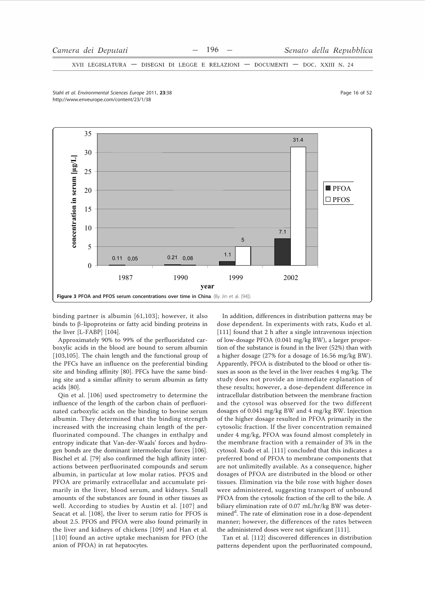XVII LEGISLATURA  $\hspace{0.05cm}$ DISEGNI DI LEGGE E RELAZIONI - DOCUMENTI - DOC. XXIII N. 24

Stabl et al Environmental Sciences Eurone 2011 23:38 http://www.enveurope.com/content/23/1/38



binding partner is albumin [61,103]; however, it also binds to  $\beta$ -lipoproteins or fatty acid binding proteins in the liver [L-FABP] [104].

Approximately 90% to 99% of the perfluoridated carboxylic acids in the blood are bound to serum albumin [103,105]. The chain length and the functional group of the PFCs have an influence on the preferential binding site and binding affinity [80]. PFCs have the same binding site and a similar affinity to serum albumin as fatty acids [80].

Qin et al. [106] used spectrometry to determine the influence of the length of the carbon chain of perfluorinated carboxylic acids on the binding to bovine serum albumin. They determined that the binding strength increased with the increasing chain length of the perfluorinated compound. The changes in enthalpy and entropy indicate that Van-der-Waals' forces and hydrogen bonds are the dominant intermolecular forces [106]. Bischel et al. [79] also confirmed the high affinity interactions between perfluorinated compounds and serum albumin, in particular at low molar ratios. PFOS and PFOA are primarily extracellular and accumulate primarily in the liver, blood serum, and kidneys. Small amounts of the substances are found in other tissues as well. According to studies by Austin et al. [107] and Seacat et al. [108], the liver to serum ratio for PFOS is about 2.5. PFOS and PFOA were also found primarily in the liver and kidneys of chickens [109] and Han et al. [110] found an active uptake mechanism for PFO (the anion of PFOA) in rat hepatocytes.

In addition, differences in distribution patterns may be dose dependent. In experiments with rats, Kudo et al. [111] found that 2 h after a single intravenous injection of low-dosage PFOA (0.041 mg/kg BW), a larger proportion of the substance is found in the liver (52%) than with a higher dosage  $(27\%$  for a dosage of 16.56 mg/kg BW). Apparently, PFOA is distributed to the blood or other tissues as soon as the level in the liver reaches 4 mg/kg. The study does not provide an immediate explanation of these results; however, a dose-dependent difference in intracellular distribution between the membrane fraction and the cytosol was observed for the two different dosages of 0.041 mg/kg BW and 4 mg/kg BW. Injection of the higher dosage resulted in PFOA primarily in the cytosolic fraction. If the liver concentration remained under 4 mg/kg, PFOA was found almost completely in the membrane fraction with a remainder of 3% in the cytosol. Kudo et al. [111] concluded that this indicates a preferred bond of PFOA to membrane components that are not unlimitedly available. As a consequence, higher dosages of PFOA are distributed in the blood or other tissues. Elimination via the bile rose with higher doses were administered, suggesting transport of unbound PFOA from the cytosolic fraction of the cell to the bile. A biliary elimination rate of 0.07 mL/hr/kg BW was determined<sup>d</sup>. The rate of elimination rose in a dose-dependent manner; however, the differences of the rates between the administered doses were not significant [111].

Tan et al. [112] discovered differences in distribution patterns dependent upon the perfluorinated compound,

Page 16 of 52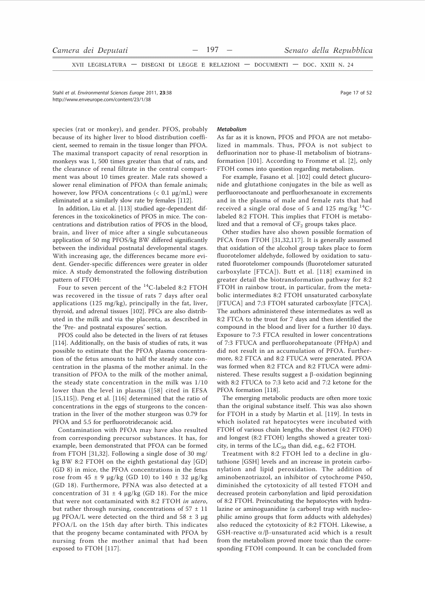XVII LEGISLATURA - DISEGNI DI LEGGE E RELAZIONI - DOCUMENTI - DOC. XXIII N. 24

Stahl et al. Environmental Sciences Europe 2011, 23:38 http://www.enveurope.com/content/23/1/38

species (rat or monkey), and gender. PFOS, probably because of its higher liver to blood distribution coefficient, seemed to remain in the tissue longer than PFOA. The maximal transport capacity of renal resorption in monkeys was 1, 500 times greater than that of rats, and the clearance of renal filtrate in the central compartment was about 10 times greater. Male rats showed a slower renal elimination of PFOA than female animals; however, low PFOA concentrations (< 0.1  $\mu$ g/mL) were eliminated at a similarly slow rate by females [112].

In addition, Liu et al. [113] studied age-dependent differences in the toxicokinetics of PFOS in mice. The concentrations and distribution ratios of PFOS in the blood. brain, and liver of mice after a single subcutaneous application of 50 mg PFOS/kg BW differed significantly between the individual postnatal developmental stages. With increasing age, the differences became more evident. Gender-specific differences were greater in older mice. A study demonstrated the following distribution pattern of FTOH:

Four to seven percent of the <sup>14</sup>C-labeled 8:2 FTOH was recovered in the tissue of rats 7 days after oral applications (125 mg/kg), principally in the fat, liver, thyroid, and adrenal tissues [102]. PFCs are also distributed in the milk and via the placenta, as described in the 'Pre- and postnatal exposures' section.

PFOS could also be detected in the livers of rat fetuses [114]. Additionally, on the basis of studies of rats, it was possible to estimate that the PFOA plasma concentration of the fetus amounts to half the steady state concentration in the plasma of the mother animal. In the transition of PFOA to the milk of the mother animal, the steady state concentration in the milk was 1/10 lower than the level in plasma ([58] cited in EFSA  $[15,115]$ ). Peng et al.  $[116]$  determined that the ratio of concentrations in the eggs of sturgeons to the concentration in the liver of the mother sturgeon was 0.79 for PFOA and 5.5 for perfluorotridecanoic acid.

Contamination with PFOA may have also resulted from corresponding precursor substances. It has, for example, been demonstrated that PFOA can be formed from FTOH [31,32]. Following a single dose of 30 mg/ kg BW 8:2 FTOH on the eighth gestational day [GD] (GD 8) in mice, the PFOA concentrations in the fetus rose from  $45 \pm 9$  µg/kg (GD 10) to  $140 \pm 32$  µg/kg (GD 18). Furthermore, PFNA was also detected at a concentration of 31  $\pm$  4 µg/kg (GD 18). For the mice that were not contaminated with 8:2 FTOH in utero, but rather through nursing, concentrations of  $57 \pm 11$ μg PFOA/L were detected on the third and  $58 \pm 3$  μg PFOA/L on the 15th day after birth. This indicates that the progeny became contaminated with PFOA by nursing from the mother animal that had been exposed to FTOH [117].

#### Metabolism

As far as it is known, PFOS and PFOA are not metabolized in mammals. Thus, PFOA is not subject to defluorination nor to phase-II metabolism of biotransformation [101]. According to Fromme et al. [2], only FTOH comes into question regarding metabolism.

For example, Fasano et al. [102] could detect glucuronide and glutathione conjugates in the bile as well as perfluorooctanoate and perfluorhexanoate in excrements and in the plasma of male and female rats that had received a single oral dose of 5 and 125 mg/kg  $^{14}C$ labeled 8:2 FTOH. This implies that FTOH is metabolized and that a removal of  $CF_2$  groups takes place.

Other studies have also shown possible formation of PFCA from FTOH [31,32,117]. It is generally assumed that oxidation of the alcohol group takes place to form fluorotelomer aldehyde, followed by oxidation to saturated fluorotelomer compounds (fluorotelomer saturated carboxylate [FTCA]). Butt et al. [118] examined in greater detail the biotransformation pathway for 8:2 FTOH in rainbow trout, in particular, from the metabolic intermediates 8:2 FTOH unsaturated carboxylate [FTUCA] and 7:3 FTOH saturated carboxylate [FTCA]. The authors administered these intermediates as well as 8:2 FTCA to the trout for 7 days and then identified the compound in the blood and liver for a further 10 days. Exposure to 7:3 FTCA resulted in lower concentrations of 7:3 FTUCA and perfluorohepatanoate (PFHpA) and did not result in an accumulation of PFOA. Furthermore, 8:2 FTCA and 8:2 FTUCA were generated. PFOA was formed when 8:2 FTCA and 8:2 FTUCA were administered. These results suggest a  $\beta$ -oxidation beginning with 8:2 FTUCA to 7:3 keto acid and 7:2 ketone for the PFOA formation [118].

The emerging metabolic products are often more toxic than the original substance itself. This was also shown for FTOH in a study by Martin et al. [119]. In tests in which isolated rat hepatocytes were incubated with FTOH of various chain lengths, the shortest (4:2 FTOH) and longest (8:2 FTOH) lengths showed a greater toxicity, in terms of the LC<sub>50</sub> than did, e.g., 6:2 FTOH.

Treatment with 8:2 FTOH led to a decline in glutathione [GSH] levels and an increase in protein carbonylation and lipid peroxidation. The addition of aminobenzotriazol, an inhibitor of cytochrome P450, diminished the cytotoxicity of all tested FTOH and decreased protein carbonylation and lipid peroxidation of 8:2 FTOH. Preincubating the hepatocytes with hydralazine or aminoguanidine (a carbonyl trap with nucleophilic amino groups that form adducts with aldehydes) also reduced the cytotoxicity of 8:2 FTOH. Likewise, a GSH-reactive  $\alpha/\beta$ -unsaturated acid which is a result from the metabolism proved more toxic than the corresponding FTOH compound. It can be concluded from

Page 17 of 52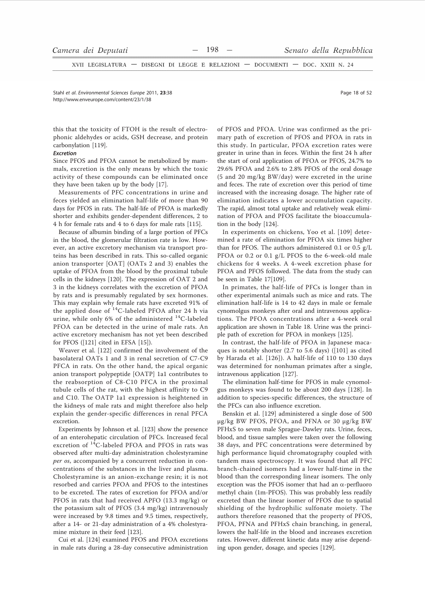XVII LEGISLATURA - DISEGNI DI LEGGE E RELAZIONI - DOCUMENTI - DOC. XXIII N. 24

Stabl et al Environmental Sciences Eurone 2011 23:38 http://www.enveurope.com/content/23/1/38

Page 18 of 52

this that the toxicity of FTOH is the result of electrophonic aldehydes or acids, GSH decrease, and protein carbonylation [119].

#### **Excretion**

Since PFOS and PFOA cannot be metabolized by mammals, excretion is the only means by which the toxic activity of these compounds can be eliminated once they have been taken up by the body [17].

Measurements of PFC concentrations in urine and feces yielded an elimination half-life of more than 90 days for PFOS in rats. The half-life of PFOA is markedly shorter and exhibits gender-dependent differences, 2 to 4 h for female rats and 4 to 6 days for male rats [115].

Because of albumin binding of a large portion of PFCs in the blood, the glomerular filtration rate is low. However, an active excretory mechanism via transport proteins has been described in rats. This so-called organic anion transporter [OAT] (OATs 2 and 3) enables the uptake of PFOA from the blood by the proximal tubule cells in the kidneys [120]. The expression of OAT 2 and 3 in the kidneys correlates with the excretion of PFOA by rats and is presumably regulated by sex hormones. This may explain why female rats have excreted 91% of the applied dose of  ${}^{14}C$ -labeled PFOA after 24 h via urine, while only 6% of the administered <sup>14</sup>C-labeled PFOA can be detected in the urine of male rats. An active excretory mechanism has not yet been described for PFOS ([121] cited in EFSA [15]).

Weaver et al. [122] confirmed the involvement of the basolateral OATs 1 and 3 in renal secretion of C7-C9 PFCA in rats. On the other hand, the apical organic anion transport polypeptide [OATP] 1a1 contributes to the reabsorption of C8-C10 PFCA in the proximal tubule cells of the rat, with the highest affinity to C9 and C10. The OATP 1a1 expression is heightened in the kidneys of male rats and might therefore also help explain the gender-specific differences in renal PFCA excretion.

Experiments by Johnson et al. [123] show the presence of an enterohepatic circulation of PFCs. Increased fecal excretion of <sup>14</sup>C-labeled PFOA and PFOS in rats was observed after multi-day administration cholestyramine per os, accompanied by a concurrent reduction in concentrations of the substances in the liver and plasma. Cholestyramine is an anion-exchange resin; it is not resorbed and carries PFOA and PFOS to the intestines to be excreted. The rates of excretion for PFOA and/or PFOS in rats that had received APFO (13.3 mg/kg) or the potassium salt of PFOS (3.4 mg/kg) intravenously were increased by 9.8 times and 9.5 times, respectively, after a 14- or 21-day administration of a 4% cholestyramine mixture in their feed [123].

Cui et al. [124] examined PFOS and PFOA excretions in male rats during a 28-day consecutive administration of PFOS and PFOA. Urine was confirmed as the primary path of excretion of PFOS and PFOA in rats in this study. In particular, PFOA excretion rates were greater in urine than in feces. Within the first 24 h after the start of oral application of PFOA or PFOS, 24.7% to 29.6% PFOA and 2.6% to 2.8% PFOS of the oral dosage (5 and 20 mg/kg BW/day) were excreted in the urine and feces. The rate of excretion over this period of time increased with the increasing dosage. The higher rate of elimination indicates a lower accumulation capacity. The rapid, almost total uptake and relatively weak elimination of PFOA and PFOS facilitate the bioaccumulation in the body [124].

In experiments on chickens, Yoo et al. [109] determined a rate of elimination for PFOA six times higher than for PFOS. The authors administered 0.1 or 0.5  $g/L$ PFOA or 0.2 or 0.1 g/L PFOS to the 6-week-old male chickens for 4 weeks. A 4-week excretion phase for PFOA and PFOS followed. The data from the study can be seen in Table 17[109].

In primates, the half-life of PFCs is longer than in other experimental animals such as mice and rats. The elimination half-life is 14 to 42 days in male or female cynomolgus monkeys after oral and intravenous applications. The PFOA concentrations after a 4-week oral application are shown in Table 18. Urine was the principle path of excretion for PFOA in monkeys [125].

In contrast, the half-life of PFOA in Japanese macaques is notably shorter (2.7 to 5.6 days) ([101] as cited by Harada et al. [126]). A half-life of 110 to 130 days was determined for nonhuman primates after a single, intravenous application [127].

The elimination half-time for PFOS in male cynomolgus monkeys was found to be about 200 days [128]. In addition to species-specific differences, the structure of the PFCs can also influence excretion.

Benskin et al. [129] administered a single dose of 500 μg/kg BW PFOS, PFOA, and PFNA or 30 μg/kg BW PFHxS to seven male Sprague-Dawley rats. Urine, feces, blood, and tissue samples were taken over the following 38 days, and PFC concentrations were determined by high performance liquid chromatography coupled with tandem mass spectroscopy. It was found that all PFC branch-chained isomers had a lower half-time in the blood than the corresponding linear isomers. The only exception was the PFOS isomer that had an  $\alpha$ -perfluoro methyl chain (1m-PFOS). This was probably less readily excreted than the linear isomer of PFOS due to spatial shielding of the hydrophilic sulfonate moiety. The authors therefore reasoned that the property of PFOS, PFOA, PFNA and PFHxS chain branching, in general, lowers the half-life in the blood and increases excretion rates. However, different kinetic data may arise depending upon gender, dosage, and species [129].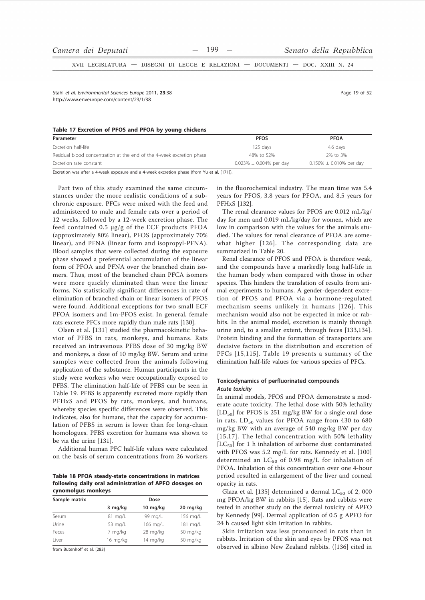XVII LEGISLATURA - DISEGNI DI LEGGE E RELAZIONI - DOCUMENTI - DOC. XXIII N. 24

Stahl et al. Environmental Sciences Europe 2011. 23:38 http://www.enveurope.com/content/23/1/38

#### Table 17 Excretion of PFOS and PFOA by young chickens

| Parameter                                                             | <b>PFOS</b>                   | <b>PFOA</b>                   |
|-----------------------------------------------------------------------|-------------------------------|-------------------------------|
| Excretion half-life                                                   | 125 davs                      | 4.6 days                      |
| Residual blood concentration at the end of the 4-week excretion phase | 48% to 52%                    | 2% to 3%                      |
| Excretion rate constant                                               | $0.023\% \pm 0.004\%$ per day | $0.150\% \pm 0.010\%$ per day |

Excretion was after a 4-week exposure and a 4-week excretion phase (from Yu et al. [171]).

Part two of this study examined the same circumstances under the more realistic conditions of a subchronic exposure. PFCs were mixed with the feed and administered to male and female rats over a period of 12 weeks, followed by a 12-week excretion phase. The feed contained 0.5 µg/g of the ECF products PFOA (approximately 80% linear), PFOS (approximately 70% linear), and PFNA (linear form and isopropyl-PFNA). Blood samples that were collected during the exposure phase showed a preferential accumulation of the linear form of PFOA and PFNA over the branched chain isomers. Thus, most of the branched chain PFCA isomers were more quickly eliminated than were the linear forms. No statistically significant differences in rate of elimination of branched chain or linear isomers of PFOS were found. Additional exceptions for two small ECF PFOA isomers and 1m-PFOS exist. In general, female rats excrete PFCs more rapidly than male rats [130].

Olsen et al. [131] studied the pharmacokinetic behavior of PFBS in rats, monkeys, and humans. Rats received an intravenous PFBS dose of 30 mg/kg BW and monkeys, a dose of 10 mg/kg BW. Serum and urine samples were collected from the animals following application of the substance. Human participants in the study were workers who were occupationally exposed to PFBS. The elimination half-life of PFBS can be seen in Table 19. PFBS is apparently excreted more rapidly than PFHxS and PFOS by rats, monkeys, and humans, whereby species specific differences were observed. This indicates, also for humans, that the capacity for accumulation of PFBS in serum is lower than for long-chain homologues. PFBS excretion for humans was shown to be via the urine [131].

Additional human PFC half-life values were calculated on the basis of serum concentrations from 26 workers

Table 18 PFOA steady-state concentrations in matrices following daily oral administration of APFO dosages on cynomolgus monkeys

| Sample matrix | Dose              |                    |          |  |  |  |
|---------------|-------------------|--------------------|----------|--|--|--|
|               | 3 mg/kg           | $10 \text{ mg/kg}$ | 20 mg/kg |  |  |  |
| Serum         | $81 \text{ mg/L}$ | 99 mg/L            | 156 mg/L |  |  |  |
| Urine         | 53 mg/L           | 166 mg/L           | 181 mg/L |  |  |  |
| Feces         | 7 mg/kg           | 28 mg/kg           | 50 mg/kg |  |  |  |
| l iver        | 16 mg/kg          | 14 mg/kg           | 50 mg/kg |  |  |  |

from Butenhoff et al. [283]

in the fluorochemical industry. The mean time was 5.4 years for PFOS, 3.8 years for PFOA, and 8.5 years for **PFHxS** [132].

The renal clearance values for PFOS are 0.012 mL/kg/ day for men and 0.019 mL/kg/day for women, which are low in comparison with the values for the animals studied. The values for renal clearance of PFOA are somewhat higher [126]. The corresponding data are summarized in Table 20.

Renal clearance of PFOS and PFOA is therefore weak, and the compounds have a markedly long half-life in the human body when compared with those in other species. This hinders the translation of results from animal experiments to humans. A gender-dependent excretion of PFOS and PFOA via a hormone-regulated mechanism seems unlikely in humans [126]. This mechanism would also not be expected in mice or rabbits. In the animal model, excretion is mainly through urine and, to a smaller extent, through feces [133,134]. Protein binding and the formation of transporters are decisive factors in the distribution and excretion of PFCs [15,115]. Table 19 presents a summary of the elimination half-life values for various species of PFCs.

## Toxicodynamics of perfluorinated compounds **Acute toxicity**

In animal models, PFOS and PFOA demonstrate a moderate acute toxicity. The lethal dose with 50% lethality [LD<sub>50</sub>] for PFOS is 251 mg/kg BW for a single oral dose in rats. LD<sub>50</sub> values for PFOA range from 430 to 680 mg/kg BW with an average of 540 mg/kg BW per day [15,17]. The lethal concentration with 50% lethality [ $LC_{50}$ ] for 1 h inhalation of airborne dust contaminated with PFOS was 5.2 mg/L for rats. Kennedy et al. [100] determined an  $LC_{50}$  of 0.98 mg/L for inhalation of PFOA. Inhalation of this concentration over one 4-hour period resulted in enlargement of the liver and corneal opacity in rats.

Glaza et al. [135] determined a dermal  $LC_{50}$  of 2, 000 mg PFOA/kg BW in rabbits [15]. Rats and rabbits were tested in another study on the dermal toxicity of APFO by Kennedy [99]. Dermal application of 0.5 g APFO for 24 h caused light skin irritation in rabbits.

Skin irritation was less pronounced in rats than in rabbits. Irritation of the skin and eyes by PFOS was not observed in albino New Zealand rabbits. ([136] cited in

Page 19 of 52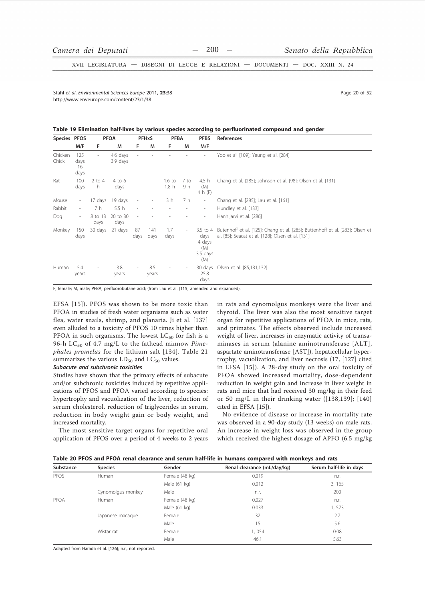XVII LEGISLATURA - DISEGNI DI LEGGE E RELAZIONI - DOCUMENTI - DOC. XXIII N. 24

Stabl et al Environmental Sciences Eurone 2011 23:38 http://www.enveurope.com/content/23/1/38

Page 20 of 52

#### Table 19 Elimination half-lives by various species according to perfluorinated compound and gender

| Species PFOS     |                           |                          | <b>PFOA</b>          |                              | <b>PFHxS</b>             | <b>PFBA</b>                         |                          | <b>PFBS</b>                                          | References                                                                                                                         |
|------------------|---------------------------|--------------------------|----------------------|------------------------------|--------------------------|-------------------------------------|--------------------------|------------------------------------------------------|------------------------------------------------------------------------------------------------------------------------------------|
|                  | M/F                       | F.                       | М                    | F                            | M                        | F                                   | M                        | M/F                                                  |                                                                                                                                    |
| Chicken<br>Chick | 125<br>days<br>16<br>days | $\sim$                   | 4.6 days<br>3.9 days |                              |                          |                                     |                          |                                                      | Yoo et al. [109]; Yeung et al. [284]                                                                                               |
| Rat              | 100<br>days               | $2$ to 4<br>h.           | 4 to 6<br>days       |                              | $\overline{\phantom{a}}$ | $1.6\text{ to}$<br>1.8 <sub>h</sub> | 7 to<br>9 h              | 4.5 h<br>(M)<br>4 h (F)                              | Chang et al. [285]; Johnson et al. [98]; Olsen et al. [131]                                                                        |
| Mouse            | $\overline{\phantom{a}}$  | 17 days                  | 19 days              | $\qquad \qquad \blacksquare$ | $\overline{\phantom{a}}$ | 3 h                                 | 7 h                      | $\sim$                                               | Chang et al. [285]; Lau et al. [161]                                                                                               |
| Rabbit           | $\overline{\phantom{a}}$  | 7 h                      | 5.5h                 |                              |                          | $\overline{\phantom{0}}$            | $\qquad \qquad -$        | $\sim$                                               | Hundley et al. [133]                                                                                                               |
| Dog              | $\overline{\phantom{a}}$  | 8 to 13<br>days          | 20 to 30<br>days     | $\equiv$                     |                          |                                     |                          | $\sim$                                               | Hanhijarvi et al. [286]                                                                                                            |
| Monkey           | 150<br>days               | 30 days                  | 21 days              | 87<br>days                   | 141<br>days              | 1.7<br>days                         | $\overline{\phantom{a}}$ | 3.5 to 4<br>days<br>4 days<br>(M)<br>3.5 days<br>(M) | Butenhoff et al. [125]; Chang et al. [285]; Buttenhoff et al. [283]; Olsen et<br>al. [85]; Seacat et al. [128]; Olsen et al. [131] |
| Human            | 5.4<br>years              | $\overline{\phantom{a}}$ | 3.8<br>years         |                              | 8.5<br>years             |                                     | $\overline{\phantom{a}}$ | 30 days<br>25.8<br>days                              | Olsen et al. [85,131,132]                                                                                                          |

F, female; M, male; PFBA, perfluorobutane acid; (from Lau et al. [115] amended and expanded).

EFSA [15]). PFOS was shown to be more toxic than PFOA in studies of fresh water organisms such as water flea, water snails, shrimp, and planaria. Ji et al. [137] even alluded to a toxicity of PFOS 10 times higher than PFOA in such organisms. The lowest  $LC_{50}$  for fish is a 96-h LC<sub>50</sub> of 4.7 mg/L to the fathead minnow *Pime*phales promelas for the lithium salt [134]. Table 21 summarizes the various  $LD_{50}$  and  $LC_{50}$  values.

#### Subacute and subchronic toxicities

Studies have shown that the primary effects of subacute and/or subchronic toxicities induced by repetitive applications of PFOS and PFOA varied according to species: hypertrophy and vacuolization of the liver, reduction of serum cholesterol, reduction of triglycerides in serum, reduction in body weight gain or body weight, and increased mortality.

The most sensitive target organs for repetitive oral application of PFOS over a period of 4 weeks to 2 years in rats and cynomolgus monkeys were the liver and thyroid. The liver was also the most sensitive target organ for repetitive applications of PFOA in mice, rats, and primates. The effects observed include increased weight of liver, increases in enzymatic activity of transaminases in serum (alanine aminotransferase [ALT], aspartate aminotransferase [AST]), hepaticellular hypertrophy, vacuolization, and liver necrosis (17, [127] cited in EFSA [15]). A 28-day study on the oral toxicity of PFOA showed increased mortality, dose-dependent reduction in weight gain and increase in liver weight in rats and mice that had received 30 mg/kg in their feed or 50 mg/L in their drinking water ([138,139]; [140] cited in EFSA [15]).

No evidence of disease or increase in mortality rate was observed in a 90-day study (13 weeks) on male rats. An increase in weight loss was observed in the group which received the highest dosage of APFO (6.5 mg/kg)

Table 20 PFOS and PFOA renal clearance and serum half-life in humans compared with monkeys and rats

| Substance | <b>Species</b>    | Gender         | Renal clearance (mL/day/kg) | Serum half-life in days |
|-----------|-------------------|----------------|-----------------------------|-------------------------|
| PFOS      | Human             | Female (48 kg) | 0.019                       | n.r.                    |
|           |                   | Male (61 kg)   | 0.012                       | 3, 165                  |
|           | Cynomolgus monkey | Male           | n.r.                        | 200                     |
| PFOA      | Human             | Female (48 kg) | 0.027                       | n.r.                    |
|           |                   | Male (61 kg)   | 0.033                       | 1,573                   |
|           | Japanese macaque  | Female         | 32                          | 2.7                     |
|           |                   | Male           | 15                          | 5.6                     |
|           | Wistar rat        | Female         | 1,054                       | 0.08                    |
|           |                   | Male           | 46.1                        | 5.63                    |

Adapted from Harada et al. [126]; n.r., not reported.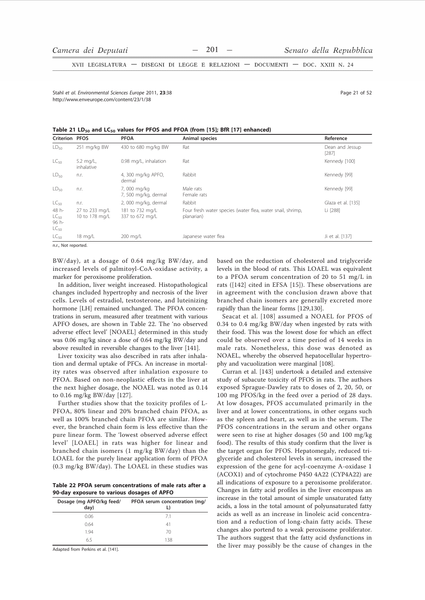XVII LEGISLATURA - DISEGNI DI LEGGE E RELAZIONI - DOCUMENTI - DOC. XXIII N. 24

Stabl et al Environmental Sciences Eurone 2011 23:38 http://www.enveurope.com/content/23/1/38

|  |  | Table 21 LD <sub>50</sub> and LC <sub>50</sub> values for PFOS and PFOA (from [15]; BfR [17] enhanced) |  |  |
|--|--|--------------------------------------------------------------------------------------------------------|--|--|
|--|--|--------------------------------------------------------------------------------------------------------|--|--|

| <b>Criterion PFOS</b>                    |                                  | <b>PFOA</b>                         | Animal species                                                           | Reference                |
|------------------------------------------|----------------------------------|-------------------------------------|--------------------------------------------------------------------------|--------------------------|
| $LD_{50}$                                | 251 mg/kg BW                     | 430 to 680 mg/kg BW                 | Rat                                                                      | Dean and Jessup<br>[287] |
| $LC_{50}$                                | 5.2 $mq/L$ ,<br>inhalative       | 0.98 mg/L, inhalation               | Rat                                                                      | Kennedy [100]            |
| $LD_{50}$                                | n.r.                             | 4, 300 mg/kg APFO,<br>dermal        | Rabbit                                                                   | Kennedy [99]             |
| $LD_{50}$                                | n.r.                             | 7,000 mg/kg<br>7, 500 mg/kg, dermal | Male rats<br>Female rats                                                 | Kennedy [99]             |
| $LC_{50}$                                | n.r.                             | 2,000 mg/kg, dermal                 | Rabbit                                                                   | Glaza et al. [135]       |
| 48 h-<br>$LC_{50}$<br>96 h-<br>$LC_{50}$ | 27 to 233 mg/L<br>10 to 178 mg/L | 181 to 732 mg/L<br>337 to 672 mg/L  | Four fresh water species (water flea, water snail, shrimp,<br>planarian) | Li [288]                 |
| $LC_{50}$                                | 18 mg/L                          | 200 mg/L                            | Japanese water flea                                                      | Ji et al. [137]          |

n.r., Not reported.

BW/day), at a dosage of 0.64 mg/kg BW/day, and increased levels of palmitoyl-CoA-oxidase activity, a marker for peroxisome proliferation.

In addition, liver weight increased. Histopathological changes included hypertrophy and necrosis of the liver cells. Levels of estradiol, testosterone, and luteinizing hormone [LH] remained unchanged. The PFOA concentrations in serum, measured after treatment with various APFO doses, are shown in Table 22. The 'no observed adverse effect level' [NOAEL] determined in this study was 0.06 mg/kg since a dose of 0.64 mg/kg BW/day and above resulted in reversible changes to the liver [141].

Liver toxicity was also described in rats after inhalation and dermal uptake of PFCs. An increase in mortality rates was observed after inhalation exposure to PFOA. Based on non-neoplastic effects in the liver at the next higher dosage, the NOAEL was noted as 0.14 to 0.16 mg/kg BW/day [127].

Further studies show that the toxicity profiles of L-PFOA, 80% linear and 20% branched chain PFOA, as well as 100% branched chain PFOA are similar. However, the branched chain form is less effective than the pure linear form. The 'lowest observed adverse effect level' [LOAEL] in rats was higher for linear and branched chain isomers (1 mg/kg BW/day) than the LOAEL for the purely linear application form of PFOA (0.3 mg/kg BW/day). The LOAEL in these studies was

Table 22 PFOA serum concentrations of male rats after a 90-day exposure to various dosages of APFO

| Dosage (mg APFO/kg feed/<br>day) | PFOA serum concentration (mg/ |
|----------------------------------|-------------------------------|
| 0.06                             | 71                            |
| 0.64                             | 41                            |
| 1.94                             | 70                            |
| 65                               | 138                           |

Adapted from Perkins et al. [141].

based on the reduction of cholesterol and triglyceride levels in the blood of rats. This LOAEL was equivalent to a PFOA serum concentration of 20 to 51 mg/L in rats ([142] cited in EFSA [15]). These observations are in agreement with the conclusion drawn above that branched chain isomers are generally excreted more rapidly than the linear forms [129,130].

Seacat et al. [108] assumed a NOAEL for PFOS of 0.34 to 0.4 mg/kg BW/day when ingested by rats with their food. This was the lowest dose for which an effect could be observed over a time period of 14 weeks in male rats. Nonetheless, this dose was denoted as NOAEL, whereby the observed hepatocellular hypertrophy and vacuolization were marginal [108].

Curran et al. [143] undertook a detailed and extensive study of subacute toxicity of PFOS in rats. The authors exposed Sprague-Dawley rats to doses of 2, 20, 50, or 100 mg PFOS/kg in the feed over a period of 28 days. At low dosages, PFOS accumulated primarily in the liver and at lower concentrations, in other organs such as the spleen and heart, as well as in the serum. The PFOS concentrations in the serum and other organs were seen to rise at higher dosages (50 and 100 mg/kg) food). The results of this study confirm that the liver is the target organ for PFOS. Hepatomegaly, reduced triglyceride and cholesterol levels in serum, increased the expression of the gene for acyl-coenzyme A-oxidase 1 (ACOX1) and of cytochrome P450 4A22 (CYP4A22) are all indications of exposure to a peroxisome proliferator. Changes in fatty acid profiles in the liver encompass an increase in the total amount of simple unsaturated fatty acids, a loss in the total amount of polyunsaturated fatty acids as well as an increase in linoleic acid concentration and a reduction of long-chain fatty acids. These changes also portend to a weak peroxisome proliferator. The authors suggest that the fatty acid dysfunctions in the liver may possibly be the cause of changes in the

Page 21 of 52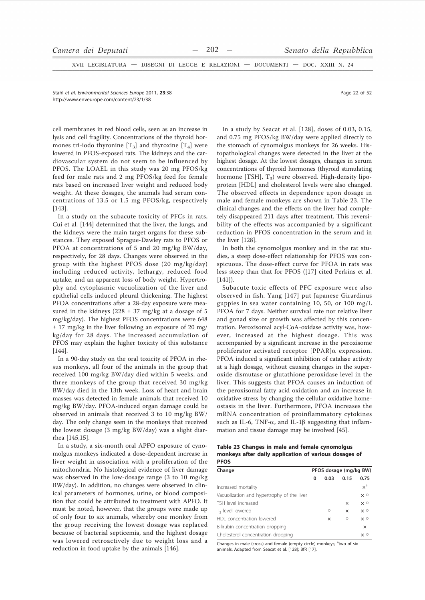XVII LEGISLATURA - DISEGNI DI LEGGE E RELAZIONI - DOCUMENTI - DOC. XXIII N. 24

Stahl et al. Environmental Sciences Europe 2011. 23:38 http://www.enveurope.com/content/23/1/38

cell membranes in red blood cells, seen as an increase in lysis and cell fragility. Concentrations of the thyroid hormones tri-iodo thyronine  $[T_3]$  and thyroxine  $[T_4]$  were lowered in PFOS-exposed rats. The kidneys and the cardiovascular system do not seem to be influenced by PFOS. The LOAEL in this study was 20 mg PFOS/kg feed for male rats and 2 mg PFOS/kg feed for female rats based on increased liver weight and reduced body weight. At these dosages, the animals had serum concentrations of 13.5 or 1.5 mg PFOS/kg, respectively  $[143]$ 

In a study on the subacute toxicity of PFCs in rats, Cui et al. [144] determined that the liver, the lungs, and the kidneys were the main target organs for these substances. They exposed Sprague-Dawley rats to PFOS or PFOA at concentrations of 5 and 20 mg/kg BW/day, respectively, for 28 days. Changes were observed in the group with the highest PFOS dose  $(20 \text{ mg/kg/day})$ including reduced activity, lethargy, reduced food uptake, and an apparent loss of body weight. Hypertrophy and cytoplasmic vacuolization of the liver and epithelial cells induced pleural thickening. The highest PFOA concentrations after a 28-day exposure were measured in the kidneys (228  $\pm$  37 mg/kg at a dosage of 5 mg/kg/day). The highest PFOS concentrations were 648  $\pm$  17 mg/kg in the liver following an exposure of 20 mg/ kg/day for 28 days. The increased accumulation of PFOS may explain the higher toxicity of this substance  $[144]$ 

In a 90-day study on the oral toxicity of PFOA in rhesus monkeys, all four of the animals in the group that received 100 mg/kg BW/day died within 5 weeks, and three monkeys of the group that received 30 mg/kg BW/day died in the 13th week. Loss of heart and brain masses was detected in female animals that received 10 mg/kg BW/day. PFOA-induced organ damage could be observed in animals that received 3 to 10 mg/kg BW/ day. The only change seen in the monkeys that received the lowest dosage (3 mg/kg BW/day) was a slight diarrhea [145,15].

In a study, a six-month oral APFO exposure of cynomolgus monkeys indicated a dose-dependent increase in liver weight in association with a proliferation of the mitochondria. No histological evidence of liver damage was observed in the low-dosage range (3 to 10 mg/kg BW/day). In addition, no changes were observed in clinical parameters of hormones, urine, or blood composition that could be attributed to treatment with APFO. It must be noted, however, that the groups were made up of only four to six animals, whereby one monkey from the group receiving the lowest dosage was replaced because of bacterial septicemia, and the highest dosage was lowered retroactively due to weight loss and a reduction in food uptake by the animals [146].

In a study by Seacat et al. [128], doses of 0.03, 0.15, and 0.75 mg PFOS/kg BW/day were applied directly to the stomach of cynomolgus monkeys for 26 weeks. Histopathological changes were detected in the liver at the highest dosage. At the lowest dosages, changes in serum concentrations of thyroid hormones (thyroid stimulating hormone [TSH], T<sub>3</sub>) were observed. High-density lipoprotein [HDL] and cholesterol levels were also changed. The observed effects in dependence upon dosage in male and female monkeys are shown in Table 23. The clinical changes and the effects on the liver had completely disappeared 211 days after treatment. This reversibility of the effects was accompanied by a significant reduction in PFOS concentration in the serum and in the liver [128].

In both the cynomolgus monkey and in the rat studies, a steep dose-effect relationship for PFOS was conspicuous. The dose-effect curve for PFOA in rats was less steep than that for PFOS ([17] cited Perkins et al.  $[141]$ 

Subacute toxic effects of PFC exposure were also observed in fish. Yang [147] put Japanese Girardinus guppies in sea water containing 10, 50, or 100 mg/L PFOA for 7 days. Neither survival rate nor relative liver and gonad size or growth was affected by this concentration. Peroxisomal acyl-CoA-oxidase activity was, however, increased at the highest dosage. This was accompanied by a significant increase in the peroxisome proliferator activated receptor  $[PPAR]$  $\alpha$  expression. PFOA induced a significant inhibition of catalase activity at a high dosage, without causing changes in the superoxide dismutase or glutathione peroxidase level in the liver. This suggests that PFOA causes an induction of the peroxisomal fatty acid oxidation and an increase in oxidative stress by changing the cellular oxidative homeostasis in the liver. Furthermore, PFOA increases the mRNA concentration of proinflammatory cytokines such as IL-6, TNF- $\alpha$ , and IL-1 $\beta$  suggesting that inflammation and tissue damage may be involved [45].

| Table 23 Changes in male and female cynomolgus        |  |  |  |  |
|-------------------------------------------------------|--|--|--|--|
| monkeys after daily application of various dosages of |  |  |  |  |
| <b>PEOS</b>                                           |  |  |  |  |

| Change                                     |   | PFOS dosage (mg/kg BW) |          |                  |  |
|--------------------------------------------|---|------------------------|----------|------------------|--|
|                                            | 0 | 0.03                   | 0.15     | 0.75             |  |
| Increased mortality                        |   |                        |          | $x^a$            |  |
| Vacuolization and hypertrophy of the liver |   |                        |          | $\times$ $\circ$ |  |
| TSH level increased                        |   |                        | $\times$ | $\times$ $\circ$ |  |
| T <sub>3</sub> level lowered               |   | $\circ$                | $\times$ | $\times$ $\circ$ |  |
| HDL concentration lowered                  |   | $\times$               | $\circ$  | $\times$ $\circ$ |  |
| Bilirubin concentration dropping           |   |                        |          | $\times$         |  |
| Cholesterol concentration dropping         |   |                        |          | $\times$ $\circ$ |  |

Changes in male (cross) and female (empty circle) monkeys: <sup>a</sup>two of six animals. Adapted from Seacat et al. [128]: BfR [17].

Page 22 of 52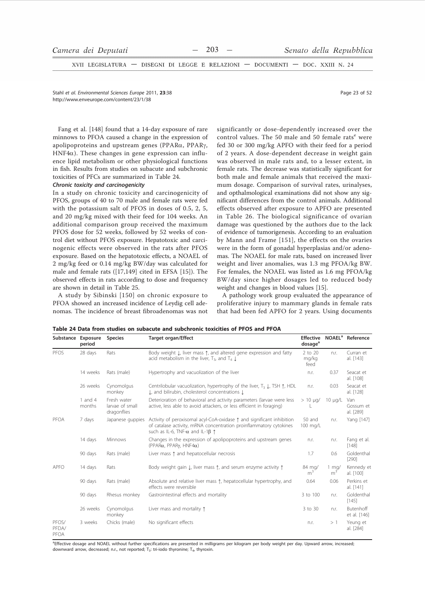XVII LEGISLATURA - DISEGNI DI LEGGE E RELAZIONI - DOCUMENTI - DOC. XXIII N. 24

Stahl et al Environmental Sciences Eurone 2011 23:38 http://www.enveurope.com/content/23/1/38

Page 23 of 52

Fang et al. [148] found that a 14-day exposure of rare minnows to PFOA caused a change in the expression of apolipoproteins and upstream genes (PPARα, PPARγ,  $HNF4\alpha$ ). These changes in gene expression can influence lipid metabolism or other physiological functions in fish. Results from studies on subacute and subchronic toxicities of PFCs are summarized in Table 24.

# Chronic toxicity and carcinogenicity

In a study on chronic toxicity and carcinogenicity of PFOS, groups of 40 to 70 male and female rats were fed with the potassium salt of PFOS in doses of 0.5, 2, 5, and 20 mg/kg mixed with their feed for 104 weeks. An additional comparison group received the maximum PFOS dose for 52 weeks, followed by 52 weeks of control diet without PFOS exposure. Hepatotoxic and carcinogenic effects were observed in the rats after PFOS exposure. Based on the hepatotoxic effects, a NOAEL of 2 mg/kg feed or 0.14 mg/kg BW/day was calculated for male and female rats ([17,149] cited in EFSA [15]). The observed effects in rats according to dose and frequency are shown in detail in Table 25.

A study by Sibinski [150] on chronic exposure to PFOA showed an increased incidence of Leydig cell adenomas. The incidence of breast fibroadenomas was not significantly or dose-dependently increased over the control values. The 50 male and 50 female rats<sup>e</sup> were fed 30 or 300 mg/kg APFO with their feed for a period of 2 years. A dose-dependent decrease in weight gain was observed in male rats and, to a lesser extent, in female rats. The decrease was statistically significant for both male and female animals that received the maximum dosage. Comparison of survival rates, urinalyses, and opthalmological examinations did not show any significant differences from the control animals. Additional effects observed after exposure to APFO are presented in Table 26. The biological significance of ovarian damage was questioned by the authors due to the lack of evidence of tumorigenesis. According to an evaluation by Mann and Frame [151], the effects on the ovaries were in the form of gonadal hyperplasias and/or adenomas. The NOAEL for male rats, based on increased liver weight and liver anomalies, was 1.3 mg PFOA/kg BW. For females, the NOAEL was listed as 1.6 mg PFOA/kg BW/day since higher dosages led to reduced body weight and changes in blood values [15].

A pathology work group evaluated the appearance of proliferative injury to mammary glands in female rats that had been fed APFO for 2 years. Using documents

Table 24 Data from studies on subacute and subchronic toxicities of PFOS and PFOA

| Substance Exposure     | period            | <b>Species</b>                                | <b>Target organ/Effect</b>                                                                                                                                                                             | <b>Effective</b><br>dosage <sup>a</sup> |                                  | NOAEL <sup>a</sup> Reference  |
|------------------------|-------------------|-----------------------------------------------|--------------------------------------------------------------------------------------------------------------------------------------------------------------------------------------------------------|-----------------------------------------|----------------------------------|-------------------------------|
| PFOS                   | 28 days           | Rats                                          | Body weight L, liver mass 1, and altered gene expression and fatty<br>acid metabolism in the liver, $T_3$ , and $T_4 \downarrow$                                                                       | 2 to 20<br>mg/kg<br>feed                | n.r.                             | Curran et<br>al. [143]        |
|                        | 14 weeks          | Rats (male)                                   | Hypertrophy and vacuolization of the liver                                                                                                                                                             | n.r.                                    | 0.37                             | Seacat et<br>al. [108]        |
|                        | 26 weeks          | Cynomolgus<br>monkey                          | Centrilobular vacuolization, hypertrophy of the liver, $T_3 \downarrow$ , TSH $\uparrow$ , HDL<br>L, and bilirubin, cholesterol concentrations L                                                       | n.r.                                    | 0.03                             | Seacat et<br>al. [128]        |
|                        | 1 and 4<br>months | Fresh water<br>larvae of small<br>dragonflies | Deterioration of behavioral and activity parameters (larvae were less<br>active, less able to avoid attackers, or less efficient in foraging)                                                          | $> 10 \mu q/$                           | $10 \mu q/L$                     | Van<br>Gossum et<br>al. [289] |
| PFOA                   | 7 days            | Japanese guppies                              | Activity of peroxisomal acyl-CoA-oxidase ↑ and significant inhibition<br>of catalase activity, mRNA concentration proinflammatory cytokines<br>such as IL-6, TNF- $\alpha$ and IL-1 $\beta$ $\uparrow$ | 50 and<br>100 mg/L                      | n.r.                             | Yang [147]                    |
|                        | 14 days           | Minnows                                       | Changes in the expression of apolipoproteins and upstream genes<br>$(PPAR\alpha, PPAR\gamma, HNF4\alpha)$                                                                                              | n.r.                                    | n.r.                             | Fang et al.<br>$[148]$        |
|                        | 90 days           | Rats (male)                                   | Liver mass 1 and hepatocellular necrosis                                                                                                                                                               | 1.7                                     | 0.6                              | Goldenthal<br>$[290]$         |
| <b>APFO</b>            | 14 days           | Rats                                          | Body weight gain $\downarrow$ , liver mass $\uparrow$ , and serum enzyme activity $\uparrow$                                                                                                           | 84 mg/<br>m <sup>3</sup>                | $1 \text{ mg}$<br>m <sup>3</sup> | Kennedy et<br>al. [100]       |
|                        | 90 days           | Rats (male)                                   | Absolute and relative liver mass 1, hepatocellular hypertrophy, and<br>effects were reversible                                                                                                         | 0.64                                    | 0.06                             | Perkins et<br>al. [141]       |
|                        | 90 days           | Rhesus monkey                                 | Gastrointestinal effects and mortality                                                                                                                                                                 | 3 to 100                                | n.r.                             | Goldenthal<br>[145]           |
|                        | 26 weeks          | Cynomolgus<br>monkey                          | Liver mass and mortality $\uparrow$                                                                                                                                                                    | 3 to 30                                 | n.r.                             | Butenhoff<br>et al. [146]     |
| PFOS/<br>PFDA/<br>PFOA | 3 weeks           | Chicks (male)                                 | No significant effects                                                                                                                                                                                 | n.r.                                    | >1                               | Yeung et<br>al. [284]         |

aEffective dosage and NOAEL without further specifications are presented in milligrams per kilogram per body weight per day. Upward arrow, increased; downward arrow, decreased; n.r., not reported;  $T_3$ : tri-iodo thyronine;  $T_4$ , thyroxin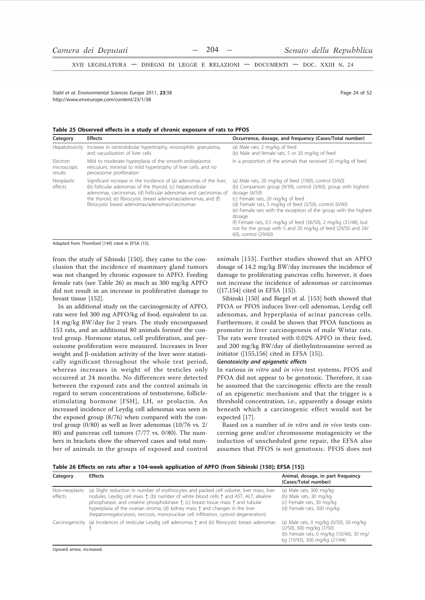XVII LEGISLATURA - DISEGNI DI LEGGE E RELAZIONI - DOCUMENTI - DOC. XXIII N. 24

Stahl et al Environmental Sciences Eurone 2011 23:38 http://www.enveurope.com/content/23/1/38

Page 24 of 52

Table 25 Observed effects in a study of chronic exposure of rats to PFOS

| Category                                                                                                                                                                                                                                                                                                                                           | <b>Effects</b>                                                                                                                                      | Occurrence, dosage, and frequency (Cases/Total number)                                                                                                                                                                                                                                                                                                                                                                                                         |  |  |
|----------------------------------------------------------------------------------------------------------------------------------------------------------------------------------------------------------------------------------------------------------------------------------------------------------------------------------------------------|-----------------------------------------------------------------------------------------------------------------------------------------------------|----------------------------------------------------------------------------------------------------------------------------------------------------------------------------------------------------------------------------------------------------------------------------------------------------------------------------------------------------------------------------------------------------------------------------------------------------------------|--|--|
|                                                                                                                                                                                                                                                                                                                                                    | Hepatotoxicity Increase in centrolobular hypertrophy, eosinophilic granuloma,<br>and vacuolization of liver cells                                   | (a) Male rats, 2 mg/kg of feed<br>(b) Male and female rats, 5 or 20 mg/kg of feed                                                                                                                                                                                                                                                                                                                                                                              |  |  |
| Electron<br>microscopic<br>results                                                                                                                                                                                                                                                                                                                 | Mild to moderate hyperplasia of the smooth endoplasmic<br>reticulum, minimal to mild hypertrophy of liver cells, and no<br>peroxisome proliferation | In a proportion of the animals that received 20 mg/kg of feed                                                                                                                                                                                                                                                                                                                                                                                                  |  |  |
| Significant increase in the incidence of (a) adenomas of the liver,<br>Neoplastic<br>(b) follicular adenomas of the thyroid, (c) hepatocellular<br>effects<br>adenomas, carcinomas, (d) follicular adenomas and carcinomas of<br>the thyroid, (e) fibrocystic breast adenomas/adenomas, and (f)<br>fibrocystic breast adenomas/adenomas/carcinomas |                                                                                                                                                     | (a) Male rats, 20 mg/kg of feed (7/60), control (0/60)<br>(b) Comparison group (9/39), control (3/60), group with highest<br>dosage $(4/59)$<br>(c) Female rats, 20 mg/kg of feed<br>(d) Female rats, 5 mg/kg of feed (3/50), control (0/60)<br>(e) Female rats with the exception of the group with the highest<br>dosage<br>(f) Female rats, 0.5 mg/kg of feed (36/50), 2 mg/kg (31/48), but<br>not for the group with 5 and 20 mg/kg of feed (29/50 and 24/ |  |  |

Adapted from Thomford [149] cited in EFSA [15].

from the study of Sibinski [150], they came to the conclusion that the incidence of mammary gland tumors was not changed by chronic exposure to APFO. Feeding female rats (see Table 26) as much as 300 mg/kg APFO did not result in an increase in proliferative damage to breast tissue [152].

In an additional study on the carcinogenicity of APFO, rats were fed 300 mg APFO/kg of food, equivalent to ca. 14 mg/kg BW/day for 2 years. The study encompassed 153 rats, and an additional 80 animals formed the control group. Hormone status, cell proliferation, and peroxisome proliferation were measured. Increases in liver weight and  $\beta$ -oxidation activity of the liver were statistically significant throughout the whole test period, whereas increases in weight of the testicles only occurred at 24 months. No differences were detected between the exposed rats and the control animals in regard to serum concentrations of testosterone, folliclestimulating hormone [FSH], LH, or prolactin. An increased incidence of Leydig cell adenomas was seen in the exposed group (8/76) when compared with the control group  $(0/80)$  as well as liver adenomas  $(10/76$  vs.  $2/$ 80) and pancreas cell tumors (7/77 vs. 0/80). The numbers in brackets show the observed cases and total number of animals in the groups of exposed and control

animals [153]. Further studies showed that an APFO dosage of 14.2 mg/kg BW/day increases the incidence of damage to proliferating pancreas cells; however, it does not increase the incidence of adenomas or carcinomas ([17,154] cited in EFSA [15]).

Sibinski [150] and Biegel et al. [153] both showed that PFOA or PFOS induces liver-cell adenomas, Leydig cell adenomas, and hyperplasia of acinar pancreas cells. Furthermore, it could be shown that PFOA functions as promoter in liver carcinogenesis of male Wistar rats. The rats were treated with 0.02% APFO in their feed, and 200 mg/kg BW/day of diethylnitrosamine served as initiator  $([155, 156]$  cited in EFSA  $[15]$ ).

# Genotoxicity and epigenetic effects

In various in vitro and in vivo test systems, PFOS and PFOA did not appear to be genotoxic. Therefore, it can be assumed that the carcinogenic effects are the result of an epigenetic mechanism and that the trigger is a threshold concentration, i.e., apparently a dosage exists beneath which a carcinogenic effect would not be expected [17].

Based on a number of in vitro and in vivo tests concerning gene and/or chromosome mutagenicity or the induction of unscheduled gene repair, the EFSA also assumes that PFOS is not genotoxic. PFOS does not

Table 26 Effects on rats after a 104-week application of APFO (from Sibinski [150]; EFSA [15])

| Category                  | <b>Effects</b>                                                                                                                                                                                                                                                                                                                                                                                                                                                                               | Animal, dosage, in part frequency<br>(Cases/Total number)                                                                                        |
|---------------------------|----------------------------------------------------------------------------------------------------------------------------------------------------------------------------------------------------------------------------------------------------------------------------------------------------------------------------------------------------------------------------------------------------------------------------------------------------------------------------------------------|--------------------------------------------------------------------------------------------------------------------------------------------------|
| Non-neoplastic<br>effects | (a) Slight reduction in number of erythrocytes and packed cell volume, liver mass, liver<br>nodules, Leydig cell mass $\uparrow$ ; (b) number of white blood cells $\uparrow$ and AST, ALT, alkaline<br>phosphatase, and creatine phosphokinase $\uparrow$ ; (c) breast tissue mass $\uparrow$ and tubular<br>hyperplasia of the ovarian stroma; (d) kidney mass $\uparrow$ and changes in the liver<br>(hepatomegalocytosis, necrosis, mononuclear cell infiltration, cystoid degeneration) | (a) Male rats, 300 mg/kg<br>(b) Male rats, 30 mg/kg<br>(c) Female rats, 30 mg/kg<br>(d) Female rats, 300 mg/kg                                   |
|                           | Carcinogenicity (a) Incidences of testicular Leydig cell adenomas $\uparrow$ and (b) fibrocystic breast adenomas                                                                                                                                                                                                                                                                                                                                                                             | (a) Male rats, 0 mg/kg (0/50), 30 mg/kg<br>(2/50), 300 mg/kg (7/50)<br>(b) Female rats, 0 mg/kg (10/46), 30 mg/<br>kg (19/45), 300 mg/kg (21/44) |

Upward arrow, increased.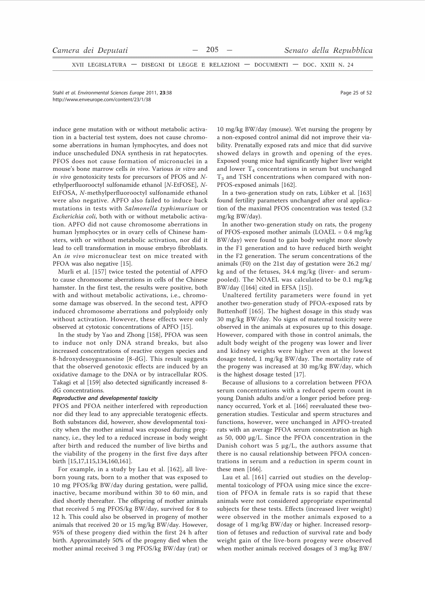XVII LEGISLATURA - DISEGNI DI LEGGE E RELAZIONI - DOCUMENTI - DOC. XXIII N. 24

Stabl et al Environmental Sciences Eurone 2011 23:38 http://www.enveurope.com/content/23/1/38

induce gene mutation with or without metabolic activation in a bacterial test system, does not cause chromosome aberrations in human lymphocytes, and does not induce unscheduled DNA synthesis in rat hepatocytes. PFOS does not cause formation of micronuclei in a mouse's bone marrow cells in vivo. Various in vitro and in vivo genotoxicity tests for precursors of PFOS and Nethylperfluorooctyl sulfonamide ethanol [N-EtFOSE], N-EtFOSA, N-methylperfluorooctyl sulfonamide ethanol were also negative. APFO also failed to induce back mutations in tests with Salmonella typhimurium or Escherichia coli, both with or without metabolic activation. APFO did not cause chromosome aberrations in human lymphocytes or in ovary cells of Chinese hamsters, with or without metabolic activation, nor did it lead to cell transformation in mouse embryo fibroblasts. An in vivo micronuclear test on mice treated with PFOA was also negative [15].

Murli et al. [157] twice tested the potential of APFO to cause chromosome aberrations in cells of the Chinese hamster. In the first test, the results were positive, both with and without metabolic activations, i.e., chromosome damage was observed. In the second test, APFO induced chromosome aberrations and polyploidy only without activation. However, these effects were only observed at cytotoxic concentrations of APFO [15].

In the study by Yao and Zhong [158], PFOA was seen to induce not only DNA strand breaks, but also increased concentrations of reactive oxygen species and 8-hdroxydesoyguanosine [8-dG]. This result suggests that the observed genotoxic effects are induced by an oxidative damage to the DNA or by intracellular ROS. Takagi et al [159] also detected significantly increased 8dG concentrations.

### Reproductive and developmental toxicity

PFOS and PFOA neither interfered with reproduction nor did they lead to any appreciable teratogenic effects. Both substances did, however, show developmental toxicity when the mother animal was exposed during pregnancy, i.e., they led to a reduced increase in body weight after birth and reduced the number of live births and the viability of the progeny in the first five days after birth [15,17,115,134,160,161].

For example, in a study by Lau et al. [162], all liveborn young rats, born to a mother that was exposed to 10 mg PFOS/kg BW/day during gestation, were pallid, inactive, became moribund within 30 to 60 min, and died shortly thereafter. The offspring of mother animals that received 5 mg PFOS/kg BW/day, survived for 8 to 12 h. This could also be observed in progeny of mother animals that received 20 or 15 mg/kg BW/day. However, 95% of these progeny died within the first 24 h after birth. Approximately 50% of the progeny died when the mother animal received 3 mg PFOS/kg BW/day (rat) or

10 mg/kg BW/day (mouse). Wet nursing the progeny by a non-exposed control animal did not improve their viability. Prenatally exposed rats and mice that did survive showed delays in growth and opening of the eyes. Exposed young mice had significantly higher liver weight and lower  $T_4$  concentrations in serum but unchanged T<sub>3</sub> and TSH concentrations when compared with non-PFOS-exposed animals [162].

In a two-generation study on rats, Lübker et al. [163] found fertility parameters unchanged after oral application of the maximal PFOS concentration was tested (3.2 mg/kg BW/day).

In another two-generation study on rats, the progeny of PFOS-exposed mother animals (LOAEL =  $0.4$  mg/kg BW/day) were found to gain body weight more slowly in the F1 generation and to have reduced birth weight in the F2 generation. The serum concentrations of the animals (F0) on the 21st day of gestation were  $26.2 \text{ mg}$ / kg and of the fetuses, 34.4 mg/kg (liver- and serumpooled). The NOAEL was calculated to be 0.1 mg/kg BW/day ([164] cited in EFSA [15]).

Unaltered fertility parameters were found in yet another two-generation study of PFOA-exposed rats by Buttenhoff [165]. The highest dosage in this study was 30 mg/kg BW/day. No signs of maternal toxicity were observed in the animals at exposures up to this dosage. However, compared with those in control animals, the adult body weight of the progeny was lower and liver and kidney weights were higher even at the lowest dosage tested, 1 mg/kg BW/day. The mortality rate of the progeny was increased at 30 mg/kg BW/day, which is the highest dosage tested [17].

Because of allusions to a correlation between PFOA serum concentrations with a reduced sperm count in young Danish adults and/or a longer period before pregnancy occurred, York et al. [166] reevaluated these twogeneration studies. Testicular and sperm structures and functions, however, were unchanged in APFO-treated rats with an average PFOA serum concentration as high as 50, 000 μg/L. Since the PFOA concentration in the Danish cohort was  $5 \mu g/L$ , the authors assume that there is no causal relationship between PFOA concentrations in serum and a reduction in sperm count in these men [166].

Lau et al. [161] carried out studies on the developmental toxicology of PFOA using mice since the excretion of PFOA in female rats is so rapid that these animals were not considered appropriate experimental subjects for these tests. Effects (increased liver weight) were observed in the mother animals exposed to a dosage of 1 mg/kg BW/day or higher. Increased resorption of fetuses and reduction of survival rate and body weight gain of the live-born progeny were observed when mother animals received dosages of 3 mg/kg BW/

Page 25 of 52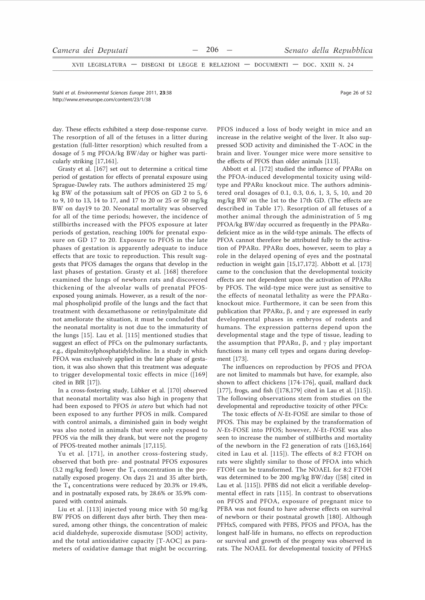XVII LEGISLATURA - DISEGNI DI LEGGE E RELAZIONI - DOCUMENTI - DOC. XXIII N. 24

Stahl et al. Environmental Sciences Europe 2011. 23:38 http://www.enveurope.com/content/23/1/38

day. These effects exhibited a steep dose-response curve. The resorption of all of the fetuses in a litter during gestation (full-litter resorption) which resulted from a dosage of 5 mg PFOA/kg BW/day or higher was particularly striking [17,161].

Grasty et al. [167] set out to determine a critical time period of gestation for effects of prenatal exposure using Sprague-Dawley rats. The authors administered 25 mg/ kg BW of the potassium salt of PFOS on GD 2 to 5, 6 to 9, 10 to 13, 14 to 17, and 17 to 20 or 25 or 50 mg/kg BW on day19 to 20. Neonatal mortality was observed for all of the time periods; however, the incidence of stillbirths increased with the PFOS exposure at later periods of gestation, reaching 100% for prenatal exposure on GD 17 to 20. Exposure to PFOS in the late phases of gestation is apparently adequate to induce effects that are toxic to reproduction. This result suggests that PFOS damages the organs that develop in the last phases of gestation. Grasty et al. [168] therefore examined the lungs of newborn rats and discovered thickening of the alveolar walls of prenatal PFOSexposed young animals. However, as a result of the normal phospholipid profile of the lungs and the fact that treatment with dexamethasone or retinylpalmitate did not ameliorate the situation, it must be concluded that the neonatal mortality is not due to the immaturity of the lungs [15]. Lau et al. [115] mentioned studies that suggest an effect of PFCs on the pulmonary surfactants, e.g., dipalmitoylphosphatidylcholine. In a study in which PFOA was exclusively applied in the late phase of gestation, it was also shown that this treatment was adequate to trigger developmental toxic effects in mice ([169] cited in BfR [17]).

In a cross-fostering study, Lübker et al. [170] observed that neonatal mortality was also high in progeny that had been exposed to PFOS in utero but which had not been exposed to any further PFOS in milk. Compared with control animals, a diminished gain in body weight was also noted in animals that were only exposed to PFOS via the milk they drank, but were not the progeny of PFOS-treated mother animals [17,115].

Yu et al. [171], in another cross-fostering study, observed that both pre- and postnatal PFOS exposures  $(3.2 \text{ mg/kg}$  feed) lower the T<sub>4</sub> concentration in the prenatally exposed progeny. On days 21 and 35 after birth, the  $T_4$  concentrations were reduced by 20.3% or 19.4%, and in postnatally exposed rats, by 28.6% or 35.9% compared with control animals.

Liu et al. [113] injected young mice with 50 mg/kg BW PFOS on different days after birth. They then measured, among other things, the concentration of maleic acid dialdehyde, superoxide dismutase [SOD] activity, and the total antioxidative capacity [T-AOC] as parameters of oxidative damage that might be occurring. PFOS induced a loss of body weight in mice and an increase in the relative weight of the liver. It also suppressed SOD activity and diminished the T-AOC in the brain and liver. Younger mice were more sensitive to the effects of PFOS than older animals [113].

Abbott et al. [172] studied the influence of PPAR $\alpha$  on the PFOA-induced developmental toxicity using wildtype and PPARa knockout mice. The authors administered oral dosages of 0.1, 0.3, 0.6, 1, 3, 5, 10, and 20 mg/kg BW on the 1st to the 17th GD. (The effects are described in Table 17). Resorption of all fetuses of a mother animal through the administration of 5 mg PFOA/kg BW/day occurred as frequently in the PPARαdeficient mice as in the wild-type animals. The effects of PFOA cannot therefore be attributed fully to the activation of PPAR $\alpha$ . PPAR $\alpha$  does, however, seem to play a role in the delayed opening of eyes and the postnatal reduction in weight gain [15,17,172]. Abbott et al. [173] came to the conclusion that the developmental toxicity effects are not dependent upon the activation of  $PPAR\alpha$ by PFOS. The wild-type mice were just as sensitive to the effects of neonatal lethality as were the PPAR $\alpha$ knockout mice. Furthermore, it can be seen from this publication that PPAR $\alpha$ ,  $\beta$ , and  $\gamma$  are expressed in early developmental phases in embryos of rodents and humans. The expression patterns depend upon the developmental stage and the type of tissue, leading to the assumption that PPAR $\alpha$ ,  $\beta$ , and  $\gamma$  play important functions in many cell types and organs during development [173].

The influences on reproduction by PFOS and PFOA are not limited to mammals but have, for example, also shown to affect chickens [174-176], quail, mallard duck [177], frogs, and fish  $([178,179]$  cited in Lau et al.  $[115]$ ). The following observations stem from studies on the developmental and reproductive toxicity of other PFCs:

The toxic effects of N-Et-FOSE are similar to those of PFOS. This may be explained by the transformation of N-Et-FOSE into PFOS; however, N-Et-FOSE was also seen to increase the number of stillbirths and mortality of the newborn in the  $F2$  generation of rats ([163,164] cited in Lau et al. [115]). The effects of 8:2 FTOH on rats were slightly similar to those of PFOA into which FTOH can be transformed. The NOAEL for 8:2 FTOH was determined to be 200 mg/kg BW/day ([58] cited in Lau et al. [115]). PFBS did not elicit a verifiable developmental effect in rats [115]. In contrast to observations on PFOS and PFOA, exposure of pregnant mice to PFBA was not found to have adverse effects on survival of newborn or their postnatal growth [180]. Although PFHxS, compared with PFBS, PFOS and PFOA, has the longest half-life in humans, no effects on reproduction or survival and growth of the progeny was observed in rats. The NOAEL for developmental toxicity of PFHxS

Page 26 of 52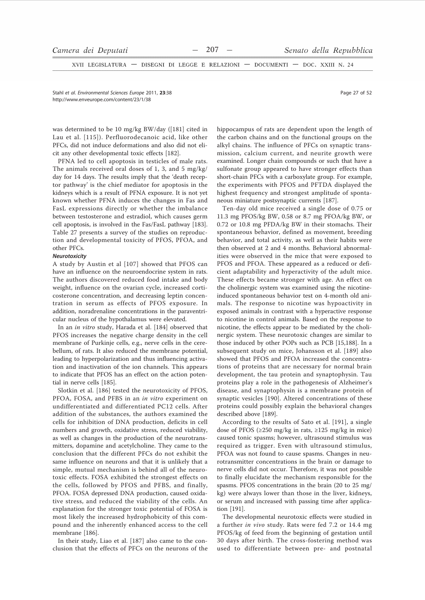XVII LEGISLATURA - DISEGNI DI LEGGE E RELAZIONI - DOCUMENTI - DOC. XXIII N. 24

Stahl et al. Environmental Sciences Europe 2011, 23:38 http://www.enveurope.com/content/23/1/38

was determined to be 10 mg/kg BW/day ([181] cited in Lau et al. [115]). Perfluorodecanoic acid, like other PFCs, did not induce deformations and also did not elicit any other developmental toxic effects [182].

PFNA led to cell apoptosis in testicles of male rats. The animals received oral doses of 1, 3, and 5 mg/kg/ day for 14 days. The results imply that the 'death receptor pathway' is the chief mediator for apoptosis in the kidneys which is a result of PFNA exposure. It is not yet known whether PFNA induces the changes in Fas and FasL expressions directly or whether the imbalance between testosterone and estradiol, which causes germ cell apoptosis, is involved in the Fas/FasL pathway [183]. Table 27 presents a survey of the studies on reproduction and developmental toxicity of PFOS, PFOA, and other PFCs.

## Neurotoxicity

A study by Austin et al [107] showed that PFOS can have an influence on the neuroendocrine system in rats. The authors discovered reduced food intake and body weight, influence on the ovarian cycle, increased corticosterone concentration, and decreasing leptin concentration in serum as effects of PFOS exposure. In addition, noradrenaline concentrations in the paraventricular nucleus of the hypothalamus were elevated.

In an in vitro study, Harada et al. [184] observed that PFOS increases the negative charge density in the cell membrane of Purkinje cells, e.g., nerve cells in the cerebellum, of rats. It also reduced the membrane potential, leading to hyperpolarization and thus influencing activation and inactivation of the ion channels. This appears to indicate that PFOS has an effect on the action potential in nerve cells [185].

Slotkin et al. [186] tested the neurotoxicity of PFOS, PFOA, FOSA, and PFBS in an in vitro experiment on undifferentiated and differentiated PC12 cells. After addition of the substances, the authors examined the cells for inhibition of DNA production, deficits in cell numbers and growth, oxidative stress, reduced viability, as well as changes in the production of the neurotransmitters, dopamine and acetylcholine. They came to the conclusion that the different PFCs do not exhibit the same influence on neurons and that it is unlikely that a simple, mutual mechanism is behind all of the neurotoxic effects. FOSA exhibited the strongest effects on the cells, followed by PFOS and PFBS, and finally, PFOA. FOSA depressed DNA production, caused oxidative stress, and reduced the viability of the cells. An explanation for the stronger toxic potential of FOSA is most likely the increased hydrophobicity of this compound and the inherently enhanced access to the cell membrane [186].

In their study, Liao et al. [187] also came to the conclusion that the effects of PFCs on the neurons of the hippocampus of rats are dependent upon the length of the carbon chains and on the functional groups on the alkyl chains. The influence of PFCs on synaptic transmission, calcium current, and neurite growth were examined. Longer chain compounds or such that have a sulfonate group appeared to have stronger effects than short-chain PFCs with a carboxylate group. For example, the experiments with PFOS and PFTDA displayed the highest frequency and strongest amplitude of spontaneous miniature postsynaptic currents [187].

Ten-day old mice received a single dose of 0.75 or 11.3 mg PFOS/kg BW, 0.58 or 8.7 mg PFOA/kg BW, or 0.72 or 10.8 mg PFDA/kg BW in their stomachs. Their spontaneous behavior, defined as movement, breeding behavior, and total activity, as well as their habits were then observed at 2 and 4 months. Behavioral abnormalities were observed in the mice that were exposed to PFOS and PFOA. These appeared as a reduced or deficient adaptability and hyperactivity of the adult mice. These effects became stronger with age. An effect on the cholinergic system was examined using the nicotineinduced spontaneous behavior test on 4-month old animals. The response to nicotine was hypoactivity in exposed animals in contrast with a hyperactive response to nicotine in control animals. Based on the response to nicotine, the effects appear to be mediated by the cholinergic system. These neurotoxic changes are similar to those induced by other POPs such as PCB [15,188]. In a subsequent study on mice, Johansson et al. [189] also showed that PFOS and PFOA increased the concentrations of proteins that are necessary for normal brain development, the tau protein and synaptophysin. Tau proteins play a role in the pathogenesis of Alzheimer's disease, and synaptophysin is a membrane protein of synaptic vesicles [190]. Altered concentrations of these proteins could possibly explain the behavioral changes described above [189].

According to the results of Sato et al. [191], a single dose of PFOS ( $\geq$ 250 mg/kg in rats,  $\geq$ 125 mg/kg in mice) caused tonic spasms; however, ultrasound stimulus was required as trigger. Even with ultrasound stimulus, PFOA was not found to cause spasms. Changes in neurotransmitter concentrations in the brain or damage to nerve cells did not occur. Therefore, it was not possible to finally elucidate the mechanism responsible for the spasms. PFOS concentrations in the brain (20 to 25 mg/ kg) were always lower than those in the liver, kidneys, or serum and increased with passing time after application [191].

The developmental neurotoxic effects were studied in a further in vivo study. Rats were fed 7.2 or 14.4 mg PFOS/kg of feed from the beginning of gestation until 30 days after birth. The cross-fostering method was used to differentiate between pre- and postnatal

Page 27 of 52